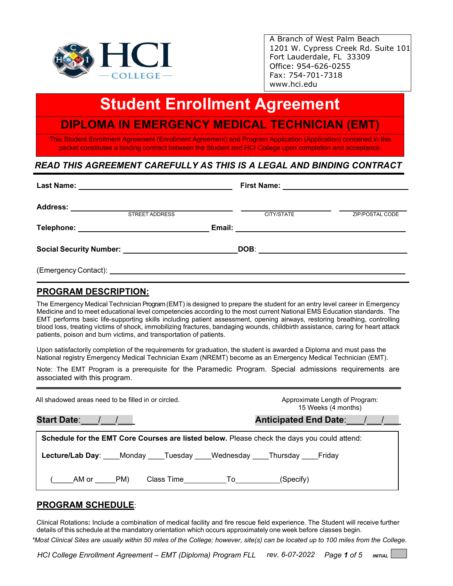

A Branch of West Palm Beach 1201 W. Cypress Creek Rd. Suite 101 Fort Lauderdale, FL 33309 Office: 954-626-0255 Fax: 754-701-7318 [www.hci.edu](http://www.hci.edu/)

# **Student Enrollment Agreement**

l,

# **DIPLOMA IN EMERGENCY MEDICAL TECHNICIAN (EMT)**

This Student Enrollment Agreement (Enrollment Agreement) and Program Application (Application) contained in this packet constitutes a binding contract between the Student and HCI College upon completion and acceptance.

# *READ THIS AGREEMENT CAREFULLY AS THIS IS A LEGAL AND BINDING CONTRACT*

|                                                                                                                                                                                                                                     | <b>STREET ADDRESS</b> | CITY/STATE | ZIP/POSTAL CODE |
|-------------------------------------------------------------------------------------------------------------------------------------------------------------------------------------------------------------------------------------|-----------------------|------------|-----------------|
| Telephone: New York State State State State State State State State State State State State State State State State State State State State State State State State State State State State State State State State State Stat      |                       |            |                 |
| Social Security Number: Social Security Number:                                                                                                                                                                                     |                       |            |                 |
| (Emergency Contact): <u>contacted</u> and the control of the control of the control of the control of the control of the control of the control of the control of the control of the control of the control of the control of the c |                       |            |                 |

### **PROGRAM DESCRIPTION:**

The Emergency Medical Technician Program (EMT) is designed to prepare the student for an entry level career in Emergency Medicine and to meet educational level competencies according to the most current National EMS Education standards. The EMT performs basic life-supporting skills including patient assessment, opening airways, restoring breathing, controlling blood loss, treating victims of shock, immobilizing fractures, bandaging wounds, childbirth assistance, caring for heart attack patients, poison and burn victims, and transportation of patients.

Upon satisfactorily completion of the requirements for graduation, the student is awarded a Diploma and must pass the National registry Emergency Medical Technician Exam (NREMT) become as an Emergency Medical Technician (EMT).

Note: The EMT Program is a prerequisite for the Paramedic Program. Special admissions requirements are associated with this program.

| All shadowed areas need to be filled in or circled.                                         | Approximate Length of Program:<br>15 Weeks (4 months) |  |
|---------------------------------------------------------------------------------------------|-------------------------------------------------------|--|
| Start Date: / /                                                                             | Anticipated End Date: / /                             |  |
| Schedule for the EMT Core Courses are listed below. Please check the days you could attend: |                                                       |  |
| <b>Lecture/Lab Day:</b> Monday Tuesday Wednesday Thursday Friday                            |                                                       |  |
| PM)<br>AM or<br>Class Time <b>To</b>                                                        | (Specify)                                             |  |

### **PROGRAM SCHEDULE**:

Clinical Rotations**:** Include a combination of medical facility and fire rescue field experience. The Student will receive further details of this schedule at the mandatory orientation which occurs approximately one week before classes begin.

*\*Most Clinical Sites are usually within 50 miles of the College; however, site(s) can be located up to 100 miles from the College.*

*HCI College Enrollment Agreement – EMT (Diploma) Program FLL rev. 6-07-2022 Page 1 of 5 INITIAL*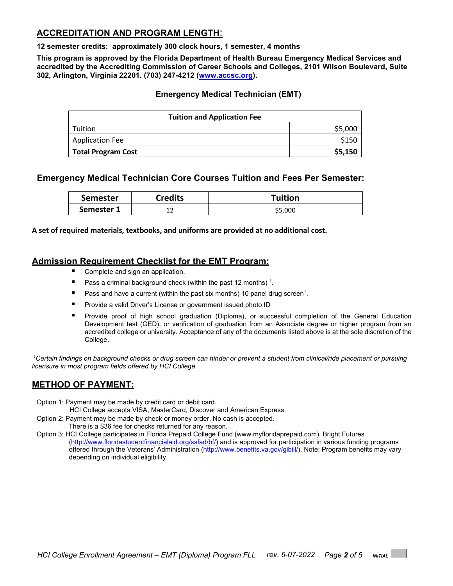# **ACCREDITATION AND PROGRAM LENGTH**:

**12 semester credits: approximately 300 clock hours, 1 semester, 4 months**

**This program is approved by the Florida Department of Health Bureau Emergency Medical Services and accredited by the Accrediting Commission of Career Schools and Colleges, 2101 Wilson Boulevard, Suite 302, Arlington, Virginia 22201. (703) 247-4212 [\(www.accsc.org\)](http://www.accsc.org/).**

#### **Emergency Medical Technician (EMT)**

| <b>Tuition and Application Fee</b> |         |  |  |
|------------------------------------|---------|--|--|
| Tuition                            | \$5,000 |  |  |
| <b>Application Fee</b>             | \$150   |  |  |
| Total Program Cost                 | \$5,150 |  |  |

# **Emergency Medical Technician Core Courses Tuition and Fees Per Semester:**

| <b>Semester</b> | <b>Credits</b> | <b>Tuition</b> |
|-----------------|----------------|----------------|
| Semester 1      | ∸∸             | \$5,000        |

**A set of required materials, textbooks, and uniforms are provided at no additional cost.**

### **Admission Requirement Checklist for the EMT Program:**

- Complete and sign an application.
- Pass a criminal background check (within the past 12 months)<sup>1</sup>.
- **Pass and have a current (within the past six months) 10 panel drug screen<sup>1</sup>.**
- **Provide a valid Driver's License or government issued photo ID**
- Provide proof of high school graduation (Diploma), or successful completion of the General Education Development test (GED), or verification of graduation from an Associate degree or higher program from an accredited college or university. Acceptance of any of the documents listed above is at the sole discretion of the College.

*1Certain findings on background checks or drug screen can hinder or prevent a student from clinical/ride placement or pursuing licensure in most program fields offered by HCI College.* 

# **METHOD OF PAYMENT:**

Option 1: Payment may be made by credit card or debit card.

HCI College accepts VISA, MasterCard, Discover and American Express.

- Option 2: Payment may be made by check or money order. No cash is accepted. There is a \$36 fee for checks returned for any reason.
- Option 3: HCI College participates in Florida Prepaid College Fund (www.myfloridaprepaid.com), Bright Futures [\(http://www.floridastudentfinancialaid.org/ssfad/bf/\)](http://www.floridastudentfinancialaid.org/ssfad/bf/) and is approved for participation in various funding programs offered through the Veterans' Administration [\(http://www.benefits.va.gov/gibill/\)](http://www.benefits.va.gov/gibill/). Note: Program benefits may vary depending on individual eligibility.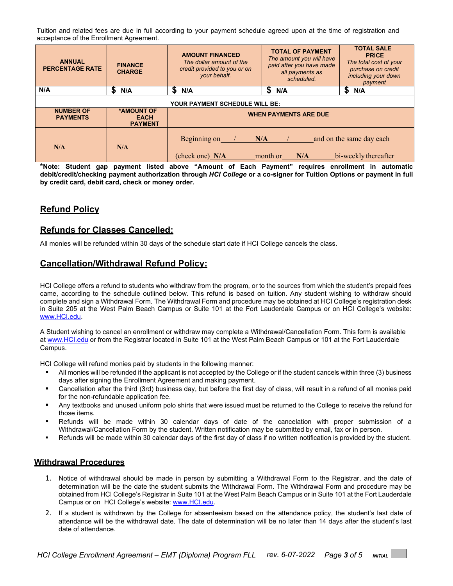Tuition and related fees are due in full according to your payment schedule agreed upon at the time of registration and acceptance of the Enrollment Agreement.

| <b>ANNUAL</b><br><b>PERCENTAGE RATE</b> | <b>FINANCE</b><br><b>CHARGE</b>             | <b>AMOUNT FINANCED</b><br>The dollar amount of the<br>credit provided to you or on<br>your behalf. | <b>TOTAL OF PAYMENT</b><br>The amount you will have<br>paid after you have made<br>all payments as<br>scheduled. | <b>TOTAL SALE</b><br><b>PRICE</b><br>The total cost of your<br>purchase on credit<br>including your down<br>payment |
|-----------------------------------------|---------------------------------------------|----------------------------------------------------------------------------------------------------|------------------------------------------------------------------------------------------------------------------|---------------------------------------------------------------------------------------------------------------------|
| N/A                                     | S<br>N/A                                    | S<br>N/A                                                                                           | S<br>N/A                                                                                                         | S<br>N/A                                                                                                            |
| <b>YOUR PAYMENT SCHEDULE WILL BE:</b>   |                                             |                                                                                                    |                                                                                                                  |                                                                                                                     |
| <b>NUMBER OF</b><br><b>PAYMENTS</b>     | *AMOUNT OF<br><b>EACH</b><br><b>PAYMENT</b> | <b>WHEN PAYMENTS ARE DUE</b>                                                                       |                                                                                                                  |                                                                                                                     |
| N/A                                     | N/A                                         | Beginning on<br>(check one) N/A                                                                    | N/A<br>month or<br>N/A                                                                                           | and on the same day each<br>bi-weekly thereafter                                                                    |

**\*Note: Student gap payment listed above "Amount of Each Payment" requires enrollment in automatic debit/credit/checking payment authorization through** *HCI College* **or a co-signer for Tuition Options or payment in full by credit card, debit card, check or money order.**

# **Refund Policy**

# **Refunds for Classes Cancelled:**

All monies will be refunded within 30 days of the schedule start date if HCI College cancels the class.

#### **Cancellation/Withdrawal Refund Policy:**

HCI College offers a refund to students who withdraw from the program, or to the sources from which the student's prepaid fees came, according to the schedule outlined below. This refund is based on tuition. Any student wishing to withdraw should complete and sign a Withdrawal Form. The Withdrawal Form and procedure may be obtained at HCI College's registration desk in Suite 205 at the West Palm Beach Campus or Suite 101 at the Fort Lauderdale Campus or on HCI College's website: [www.HCI.edu.](http://www.hci.edu/)

A Student wishing to cancel an enrollment or withdraw may complete a Withdrawal/Cancellation Form. This form is available at [www.HCI.edu](http://www.hci.edu/) or from the Registrar located in Suite 101 at the West Palm Beach Campus or 101 at the Fort Lauderdale Campus.

HCI College will refund monies paid by students in the following manner:

- All monies will be refunded if the applicant is not accepted by the College or if the student cancels within three (3) business days after signing the Enrollment Agreement and making payment.
- Cancellation after the third (3rd) business day, but before the first day of class, will result in a refund of all monies paid for the non-refundable application fee.
- **Any textbooks and unused uniform polo shirts that were issued must be returned to the College to receive the refund for** those items.
- Refunds will be made within 30 calendar days of date of the cancelation with proper submission of a Withdrawal/Cancellation Form by the student. Written notification may be submitted by email, fax or in person.
- Refunds will be made within 30 calendar days of the first day of class if no written notification is provided by the student.

#### **Withdrawal Procedures**

- 1. Notice of withdrawal should be made in person by submitting a Withdrawal Form to the Registrar, and the date of determination will be the date the student submits the Withdrawal Form. The Withdrawal Form and procedure may be obtained from HCI College's Registrar in Suite 101 at the West Palm Beach Campus or in Suite 101 at the Fort Lauderdale Campus or on HCI College's website: [www.HCI.edu.](http://www.hci.edu/)
- 2. If a student is withdrawn by the College for absenteeism based on the attendance policy, the student's last date of attendance will be the withdrawal date. The date of determination will be no later than 14 days after the student's last date of attendance.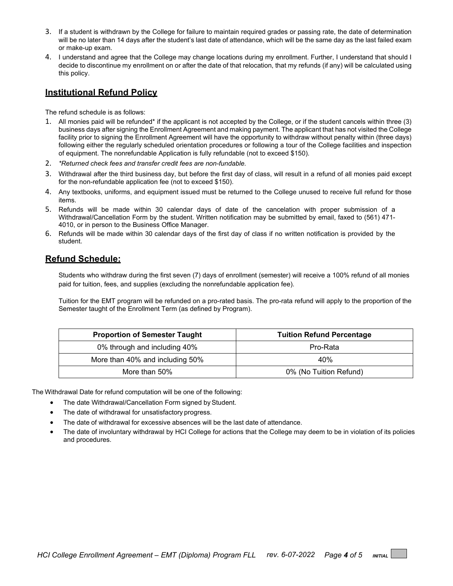- 3. If a student is withdrawn by the College for failure to maintain required grades or passing rate, the date of determination will be no later than 14 days after the student's last date of attendance, which will be the same day as the last failed exam or make-up exam.
- 4. I understand and agree that the College may change locations during my enrollment. Further, I understand that should I decide to discontinue my enrollment on or after the date of that relocation, that my refunds (if any) will be calculated using this policy.

### **Institutional Refund Policy**

The refund schedule is as follows:

- 1. All monies paid will be refunded\* if the applicant is not accepted by the College, or if the student cancels within three (3) business days after signing the Enrollment Agreement and making payment. The applicant that has not visited the College facility prior to signing the Enrollment Agreement will have the opportunity to withdraw without penalty within (three days) following either the regularly scheduled orientation procedures or following a tour of the College facilities and inspection of equipment. The nonrefundable Application is fully refundable (not to exceed \$150).
- 2. *\*Returned check fees and transfer credit fees are non-fundable.*
- 3. Withdrawal after the third business day, but before the first day of class, will result in a refund of all monies paid except for the non-refundable application fee (not to exceed \$150).
- 4. Any textbooks, uniforms, and equipment issued must be returned to the College unused to receive full refund for those items.
- 5. Refunds will be made within 30 calendar days of date of the cancelation with proper submission of a Withdrawal/Cancellation Form by the student. Written notification may be submitted by email, faxed to (561) 471- 4010, or in person to the Business Office Manager.
- 6. Refunds will be made within 30 calendar days of the first day of class if no written notification is provided by the student.

### **Refund Schedule:**

Students who withdraw during the first seven (7) days of enrollment (semester) will receive a 100% refund of all monies paid for tuition, fees, and supplies (excluding the nonrefundable application fee).

Tuition for the EMT program will be refunded on a pro-rated basis. The pro-rata refund will apply to the proportion of the Semester taught of the Enrollment Term (as defined by Program).

| <b>Proportion of Semester Taught</b> | <b>Tuition Refund Percentage</b> |
|--------------------------------------|----------------------------------|
| 0% through and including 40%         | Pro-Rata                         |
| More than 40% and including 50%      | 40%                              |
| More than 50%                        | 0% (No Tuition Refund)           |

The Withdrawal Date for refund computation will be one of the following:

- The date Withdrawal/Cancellation Form signed by Student.
- The date of withdrawal for unsatisfactory progress.
- The date of withdrawal for excessive absences will be the last date of attendance.
- The date of involuntary withdrawal by HCI College for actions that the College may deem to be in violation of its policies and procedures.